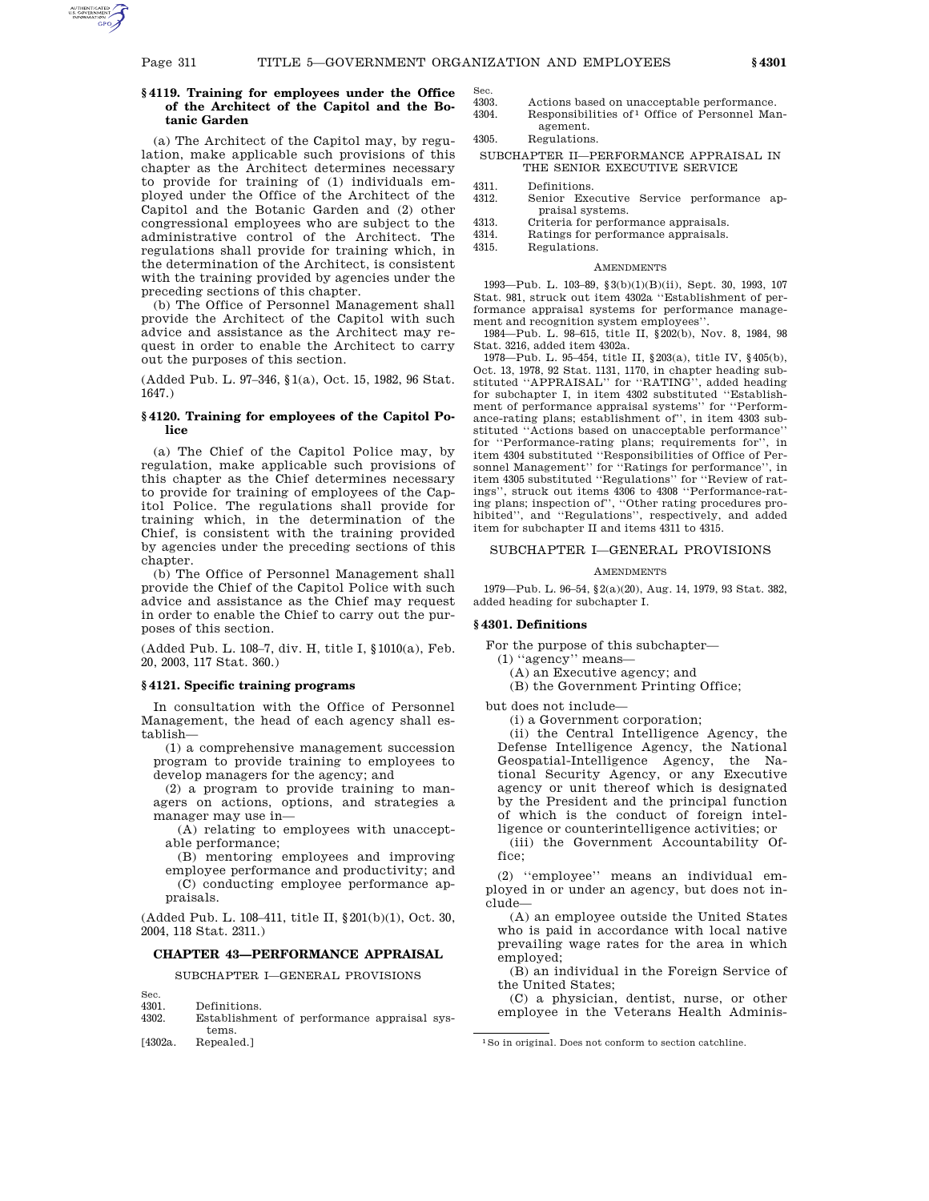Sec.

# **§ 4119. Training for employees under the Office of the Architect of the Capitol and the Botanic Garden**

(a) The Architect of the Capitol may, by regulation, make applicable such provisions of this chapter as the Architect determines necessary to provide for training of (1) individuals employed under the Office of the Architect of the Capitol and the Botanic Garden and (2) other congressional employees who are subject to the administrative control of the Architect. The regulations shall provide for training which, in the determination of the Architect, is consistent with the training provided by agencies under the preceding sections of this chapter.

(b) The Office of Personnel Management shall provide the Architect of the Capitol with such advice and assistance as the Architect may request in order to enable the Architect to carry out the purposes of this section.

(Added Pub. L. 97–346, §1(a), Oct. 15, 1982, 96 Stat. 1647.)

# **§ 4120. Training for employees of the Capitol Police**

(a) The Chief of the Capitol Police may, by regulation, make applicable such provisions of this chapter as the Chief determines necessary to provide for training of employees of the Capitol Police. The regulations shall provide for training which, in the determination of the Chief, is consistent with the training provided by agencies under the preceding sections of this chapter.

(b) The Office of Personnel Management shall provide the Chief of the Capitol Police with such advice and assistance as the Chief may request in order to enable the Chief to carry out the purposes of this section.

(Added Pub. L. 108–7, div. H, title I, §1010(a), Feb. 20, 2003, 117 Stat. 360.)

## **§ 4121. Specific training programs**

In consultation with the Office of Personnel Management, the head of each agency shall establish—

(1) a comprehensive management succession program to provide training to employees to develop managers for the agency; and

(2) a program to provide training to managers on actions, options, and strategies a manager may use in—

(A) relating to employees with unacceptable performance;

(B) mentoring employees and improving employee performance and productivity; and (C) conducting employee performance ap-

praisals.

(Added Pub. L. 108–411, title II, §201(b)(1), Oct. 30, 2004, 118 Stat. 2311.)

# **CHAPTER 43—PERFORMANCE APPRAISAL**

SUBCHAPTER I—GENERAL PROVISIONS

- Sec. 4301. Definitions.
- 4302. Establishment of performance appraisal systems.

[4302a. Repealed.]

4303. Actions based on unacceptable performance.<br>4304 Besponsibilities of 1 Office of Personnel Mar Responsibilities of 1 Office of Personnel Man-

agement. 4305. Regulations.

# SUBCHAPTER II—PERFORMANCE APPRAISAL IN THE SENIOR EXECUTIVE SERVICE

- 4311. Definitions.
- 4312. Senior Executive Service performance appraisal systems.
- 4313. Criteria for performance appraisals.
- 4314. Ratings for performance appraisals.<br>4315. Regulations. Regulations.

### **AMENDMENTS**

1993—Pub. L. 103–89, §3(b)(1)(B)(ii), Sept. 30, 1993, 107 Stat. 981, struck out item 4302a ''Establishment of performance appraisal systems for performance management and recognition system employees''.

1984—Pub. L. 98–615, title II, §202(b), Nov. 8, 1984, 98 Stat. 3216, added item 4302a.

1978—Pub. L. 95–454, title II, §203(a), title IV, §405(b), Oct. 13, 1978, 92 Stat. 1131, 1170, in chapter heading substituted ''APPRAISAL'' for ''RATING'', added heading for subchapter I, in item 4302 substituted ''Establishment of performance appraisal systems'' for ''Performance-rating plans; establishment of'', in item 4303 substituted ''Actions based on unacceptable performance'' for ''Performance-rating plans; requirements for'', in item 4304 substituted ''Responsibilities of Office of Personnel Management'' for ''Ratings for performance'', in item 4305 substituted ''Regulations'' for ''Review of ratings'', struck out items 4306 to 4308 ''Performance-rating plans; inspection of'', ''Other rating procedures prohibited'', and ''Regulations'', respectively, and added item for subchapter II and items 4311 to 4315.

# SUBCHAPTER I—GENERAL PROVISIONS

### AMENDMENTS

1979—Pub. L. 96–54, §2(a)(20), Aug. 14, 1979, 93 Stat. 382, added heading for subchapter I.

# **§ 4301. Definitions**

For the purpose of this subchapter—

(1) ''agency'' means—

- (A) an Executive agency; and
- (B) the Government Printing Office;

but does not include—

(i) a Government corporation;

(ii) the Central Intelligence Agency, the Defense Intelligence Agency, the National Geospatial-Intelligence Agency, the National Security Agency, or any Executive agency or unit thereof which is designated by the President and the principal function of which is the conduct of foreign intelligence or counterintelligence activities; or

(iii) the Government Accountability Office;

(2) ''employee'' means an individual employed in or under an agency, but does not include—

(A) an employee outside the United States who is paid in accordance with local native prevailing wage rates for the area in which employed;

(B) an individual in the Foreign Service of the United States;

(C) a physician, dentist, nurse, or other employee in the Veterans Health Adminis-

<sup>1</sup>So in original. Does not conform to section catchline.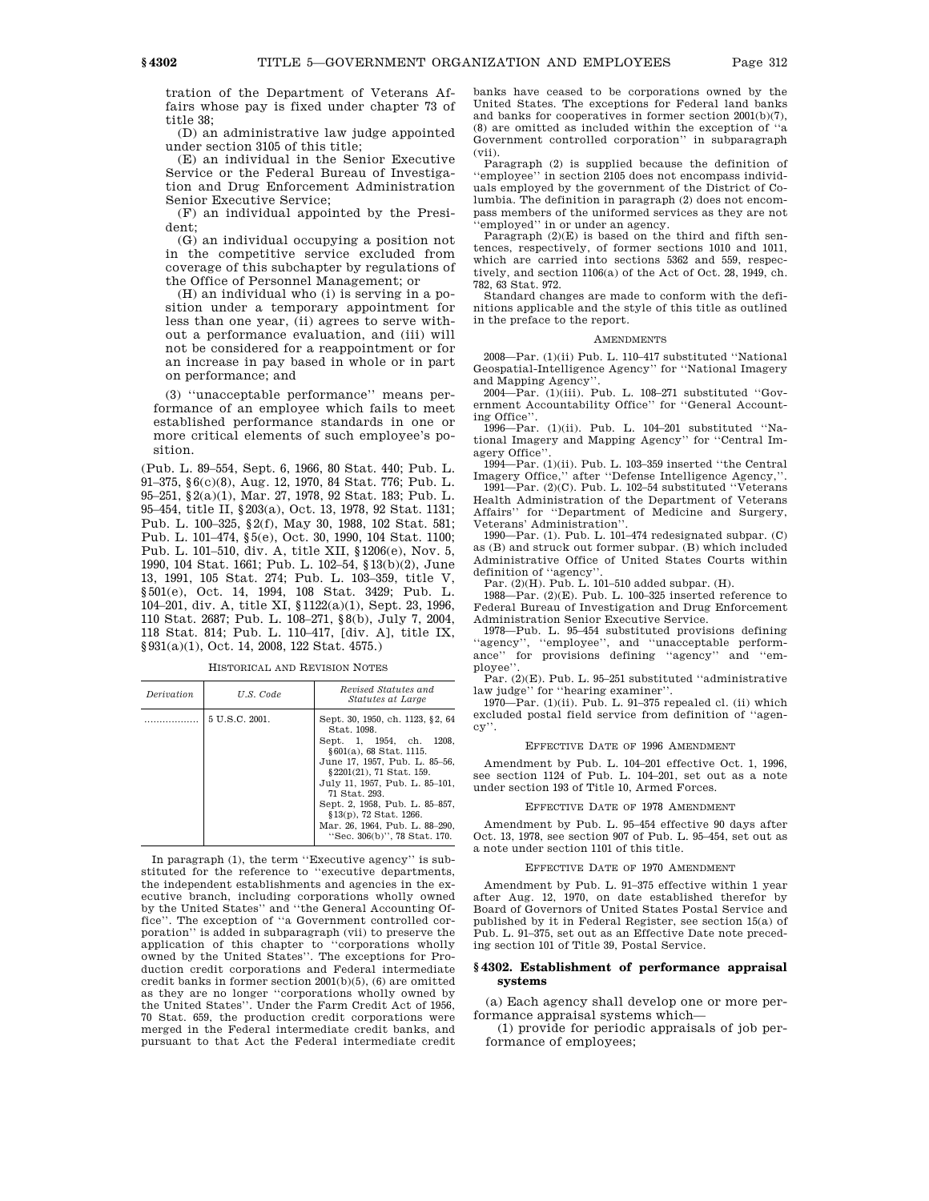tration of the Department of Veterans Affairs whose pay is fixed under chapter 73 of title 38;

(D) an administrative law judge appointed under section 3105 of this title;

(E) an individual in the Senior Executive Service or the Federal Bureau of Investigation and Drug Enforcement Administration Senior Executive Service;

(F) an individual appointed by the President;

(G) an individual occupying a position not in the competitive service excluded from coverage of this subchapter by regulations of the Office of Personnel Management; or

(H) an individual who (i) is serving in a position under a temporary appointment for less than one year, (ii) agrees to serve without a performance evaluation, and (iii) will not be considered for a reappointment or for an increase in pay based in whole or in part on performance; and

(3) ''unacceptable performance'' means performance of an employee which fails to meet established performance standards in one or more critical elements of such employee's position.

(Pub. L. 89–554, Sept. 6, 1966, 80 Stat. 440; Pub. L. 91–375, §6(c)(8), Aug. 12, 1970, 84 Stat. 776; Pub. L. 95–251, §2(a)(1), Mar. 27, 1978, 92 Stat. 183; Pub. L. 95–454, title II, §203(a), Oct. 13, 1978, 92 Stat. 1131; Pub. L. 100–325, §2(f), May 30, 1988, 102 Stat. 581; Pub. L. 101–474, §5(e), Oct. 30, 1990, 104 Stat. 1100; Pub. L. 101–510, div. A, title XII, §1206(e), Nov. 5, 1990, 104 Stat. 1661; Pub. L. 102–54, §13(b)(2), June 13, 1991, 105 Stat. 274; Pub. L. 103–359, title V, §501(e), Oct. 14, 1994, 108 Stat. 3429; Pub. L. 104–201, div. A, title XI, §1122(a)(1), Sept. 23, 1996, 110 Stat. 2687; Pub. L. 108–271, §8(b), July 7, 2004, 118 Stat. 814; Pub. L. 110–417, [div. A], title IX, §931(a)(1), Oct. 14, 2008, 122 Stat. 4575.)

| <i>Derivation</i> | U.S. Code      | Revised Statutes and<br><i>Statutes at Large</i>                                                                                                                                                                                                                                                                                                       |
|-------------------|----------------|--------------------------------------------------------------------------------------------------------------------------------------------------------------------------------------------------------------------------------------------------------------------------------------------------------------------------------------------------------|
|                   | 5 U.S.C. 2001. | Sept. 30, 1950, ch. 1123, §2, 64<br>Stat. 1098.<br>Sept. 1, 1954, ch. 1208,<br>§ 601(a), 68 Stat, 1115.<br>June 17, 1957, Pub. L. 85-56,<br>§ 2201(21), 71 Stat. 159.<br>July 11, 1957, Pub. L. 85-101,<br>71 Stat. 293.<br>Sept. 2, 1958, Pub. L. 85-857,<br>§13(p), 72 Stat. 1266.<br>Mar. 26, 1964, Pub. L. 88-290,<br>"Sec. 306(b)", 78 Stat. 170. |

In paragraph (1), the term ''Executive agency'' is substituted for the reference to ''executive departments, the independent establishments and agencies in the executive branch, including corporations wholly owned by the United States'' and ''the General Accounting Office''. The exception of ''a Government controlled corporation'' is added in subparagraph (vii) to preserve the application of this chapter to ''corporations wholly owned by the United States''. The exceptions for Production credit corporations and Federal intermediate credit banks in former section 2001(b)(5), (6) are omitted as they are no longer ''corporations wholly owned by the United States''. Under the Farm Credit Act of 1956, 70 Stat. 659, the production credit corporations were merged in the Federal intermediate credit banks, and pursuant to that Act the Federal intermediate credit

banks have ceased to be corporations owned by the United States. The exceptions for Federal land banks and banks for cooperatives in former section 2001(b)(7), (8) are omitted as included within the exception of ''a Government controlled corporation'' in subparagraph (vii).

Paragraph (2) is supplied because the definition of ''employee'' in section 2105 does not encompass individuals employed by the government of the District of Columbia. The definition in paragraph (2) does not encompass members of the uniformed services as they are not 'employed'' in or under an agency.

Paragraph  $(2)(E)$  is based on the third and fifth sentences, respectively, of former sections 1010 and 1011, which are carried into sections 5362 and 559, respectively, and section 1106(a) of the Act of Oct. 28, 1949, ch. 782, 63 Stat. 972.

Standard changes are made to conform with the definitions applicable and the style of this title as outlined in the preface to the report.

#### **AMENDMENTS**

2008—Par. (1)(ii) Pub. L. 110–417 substituted ''National Geospatial-Intelligence Agency'' for ''National Imagery and Mapping Agency''.

 $2004-\overline{\mathrm{Pa}}$ r. (1)(iii). Pub. L. 108-271 substituted "Government Accountability Office'' for ''General Accounting Office''.

1996—Par. (1)(ii). Pub. L. 104–201 substituted ''National Imagery and Mapping Agency'' for ''Central Imagery Office''.

 $1994$ —Par. (1)(ii). Pub. L. 103–359 inserted "the Central Imagery Office,'' after ''Defense Intelligence Agency,''.

1991—Par. (2)(C). Pub. L. 102–54 substituted ''Veterans Health Administration of the Department of Veterans Affairs'' for ''Department of Medicine and Surgery, Veterans' Administration''.

1990—Par. (1). Pub. L. 101–474 redesignated subpar. (C) as (B) and struck out former subpar. (B) which included Administrative Office of United States Courts within definition of ''agency''.

Par. (2)(H). Pub. L. 101–510 added subpar. (H).

1988—Par. (2)(E). Pub. L. 100–325 inserted reference to Federal Bureau of Investigation and Drug Enforcement Administration Senior Executive Service.

1978—Pub. L. 95–454 substituted provisions defining ''agency'', ''employee'', and ''unacceptable performance'' for provisions defining ''agency'' and ''employee''.

Par. (2)(E). Pub. L. 95–251 substituted ''administrative law judge'' for ''hearing examiner''.

1970—Par. (1)(ii). Pub. L. 91–375 repealed cl. (ii) which excluded postal field service from definition of ''agency''.

#### EFFECTIVE DATE OF 1996 AMENDMENT

Amendment by Pub. L. 104–201 effective Oct. 1, 1996, see section 1124 of Pub. L. 104–201, set out as a note under section 193 of Title 10, Armed Forces.

### EFFECTIVE DATE OF 1978 AMENDMENT

Amendment by Pub. L. 95–454 effective 90 days after Oct. 13, 1978, see section 907 of Pub. L. 95–454, set out as a note under section 1101 of this title.

## EFFECTIVE DATE OF 1970 AMENDMENT

Amendment by Pub. L. 91–375 effective within 1 year after Aug. 12, 1970, on date established therefor by Board of Governors of United States Postal Service and published by it in Federal Register, see section 15(a) of Pub. L. 91–375, set out as an Effective Date note preceding section 101 of Title 39, Postal Service.

## **§ 4302. Establishment of performance appraisal systems**

(a) Each agency shall develop one or more performance appraisal systems which—

(1) provide for periodic appraisals of job performance of employees;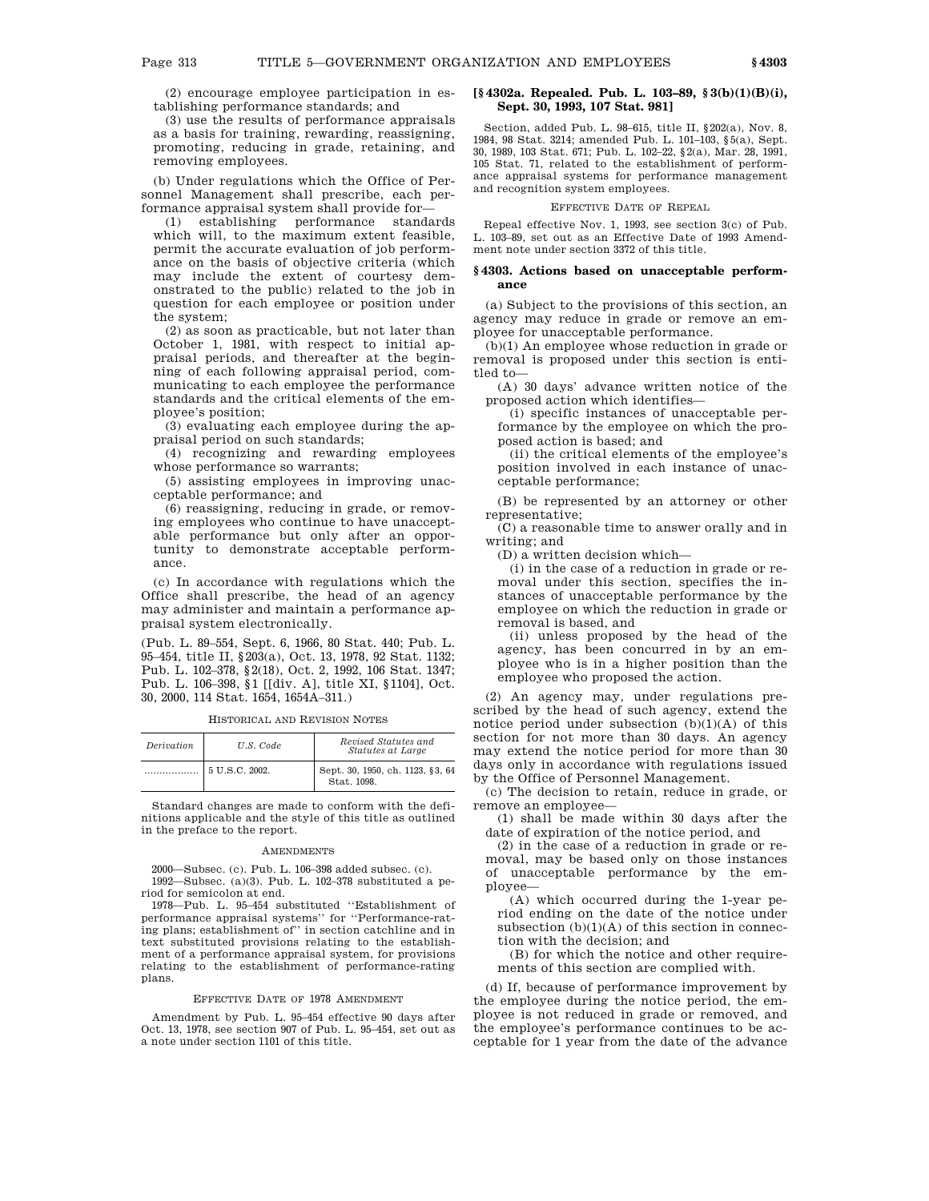(2) encourage employee participation in establishing performance standards; and

(3) use the results of performance appraisals as a basis for training, rewarding, reassigning, promoting, reducing in grade, retaining, and removing employees.

(b) Under regulations which the Office of Personnel Management shall prescribe, each performance appraisal system shall provide for—

(1) establishing performance standards which will, to the maximum extent feasible, permit the accurate evaluation of job performance on the basis of objective criteria (which may include the extent of courtesy demonstrated to the public) related to the job in question for each employee or position under the system;

(2) as soon as practicable, but not later than October 1, 1981, with respect to initial appraisal periods, and thereafter at the beginning of each following appraisal period, communicating to each employee the performance standards and the critical elements of the employee's position;

(3) evaluating each employee during the appraisal period on such standards;

(4) recognizing and rewarding employees whose performance so warrants;

(5) assisting employees in improving unacceptable performance; and

(6) reassigning, reducing in grade, or removing employees who continue to have unacceptable performance but only after an opportunity to demonstrate acceptable performance.

(c) In accordance with regulations which the Office shall prescribe, the head of an agency may administer and maintain a performance appraisal system electronically.

(Pub. L. 89–554, Sept. 6, 1966, 80 Stat. 440; Pub. L. 95–454, title II, §203(a), Oct. 13, 1978, 92 Stat. 1132; Pub. L. 102–378, §2(18), Oct. 2, 1992, 106 Stat. 1347; Pub. L. 106–398, §1 [[div. A], title XI, §1104], Oct. 30, 2000, 114 Stat. 1654, 1654A–311.)

|  | HISTORICAL AND REVISION NOTES |
|--|-------------------------------|
|  | Romsod Statutos               |

| Derivation | U.S. Code      | Revised Statutes and<br><i>Statutes at Large</i> |
|------------|----------------|--------------------------------------------------|
|            | 5 U.S.C. 2002. | Sept. 30, 1950, ch. 1123, §3, 64<br>Stat. 1098.  |

Standard changes are made to conform with the definitions applicable and the style of this title as outlined in the preface to the report.

## AMENDMENTS

2000—Subsec. (c). Pub. L. 106–398 added subsec. (c). 1992—Subsec. (a)(3). Pub. L. 102–378 substituted a period for semicolon at end.

1978—Pub. L. 95–454 substituted ''Establishment of performance appraisal systems'' for ''Performance-rating plans; establishment of'' in section catchline and in text substituted provisions relating to the establishment of a performance appraisal system, for provisions relating to the establishment of performance-rating plans.

### EFFECTIVE DATE OF 1978 AMENDMENT

Amendment by Pub. L. 95–454 effective 90 days after Oct. 13, 1978, see section 907 of Pub. L. 95–454, set out as a note under section 1101 of this title.

# **[§ 4302a. Repealed. Pub. L. 103–89, § 3(b)(1)(B)(i), Sept. 30, 1993, 107 Stat. 981]**

Section, added Pub. L. 98–615, title II, §202(a), Nov. 8, 1984, 98 Stat. 3214; amended Pub. L. 101–103, §5(a), Sept. 30, 1989, 103 Stat. 671; Pub. L. 102–22, §2(a), Mar. 28, 1991, 105 Stat. 71, related to the establishment of performance appraisal systems for performance management and recognition system employees.

## EFFECTIVE DATE OF REPEAL

Repeal effective Nov. 1, 1993, see section 3(c) of Pub. L. 103–89, set out as an Effective Date of 1993 Amendment note under section 3372 of this title.

### **§ 4303. Actions based on unacceptable performance**

(a) Subject to the provisions of this section, an agency may reduce in grade or remove an employee for unacceptable performance.

(b)(1) An employee whose reduction in grade or removal is proposed under this section is entitled to—

(A) 30 days' advance written notice of the proposed action which identifies—

(i) specific instances of unacceptable performance by the employee on which the proposed action is based; and

(ii) the critical elements of the employee's position involved in each instance of unacceptable performance;

(B) be represented by an attorney or other representative;

(C) a reasonable time to answer orally and in writing; and

(D) a written decision which—

(i) in the case of a reduction in grade or removal under this section, specifies the instances of unacceptable performance by the employee on which the reduction in grade or removal is based, and

(ii) unless proposed by the head of the agency, has been concurred in by an employee who is in a higher position than the employee who proposed the action.

(2) An agency may, under regulations prescribed by the head of such agency, extend the notice period under subsection (b)(1)(A) of this section for not more than 30 days. An agency may extend the notice period for more than 30 days only in accordance with regulations issued by the Office of Personnel Management.

(c) The decision to retain, reduce in grade, or remove an employee—

(1) shall be made within 30 days after the date of expiration of the notice period, and

(2) in the case of a reduction in grade or removal, may be based only on those instances of unacceptable performance by the employee—

(A) which occurred during the 1-year period ending on the date of the notice under subsection  $(b)(1)(A)$  of this section in connection with the decision; and

(B) for which the notice and other requirements of this section are complied with.

(d) If, because of performance improvement by the employee during the notice period, the employee is not reduced in grade or removed, and the employee's performance continues to be acceptable for 1 year from the date of the advance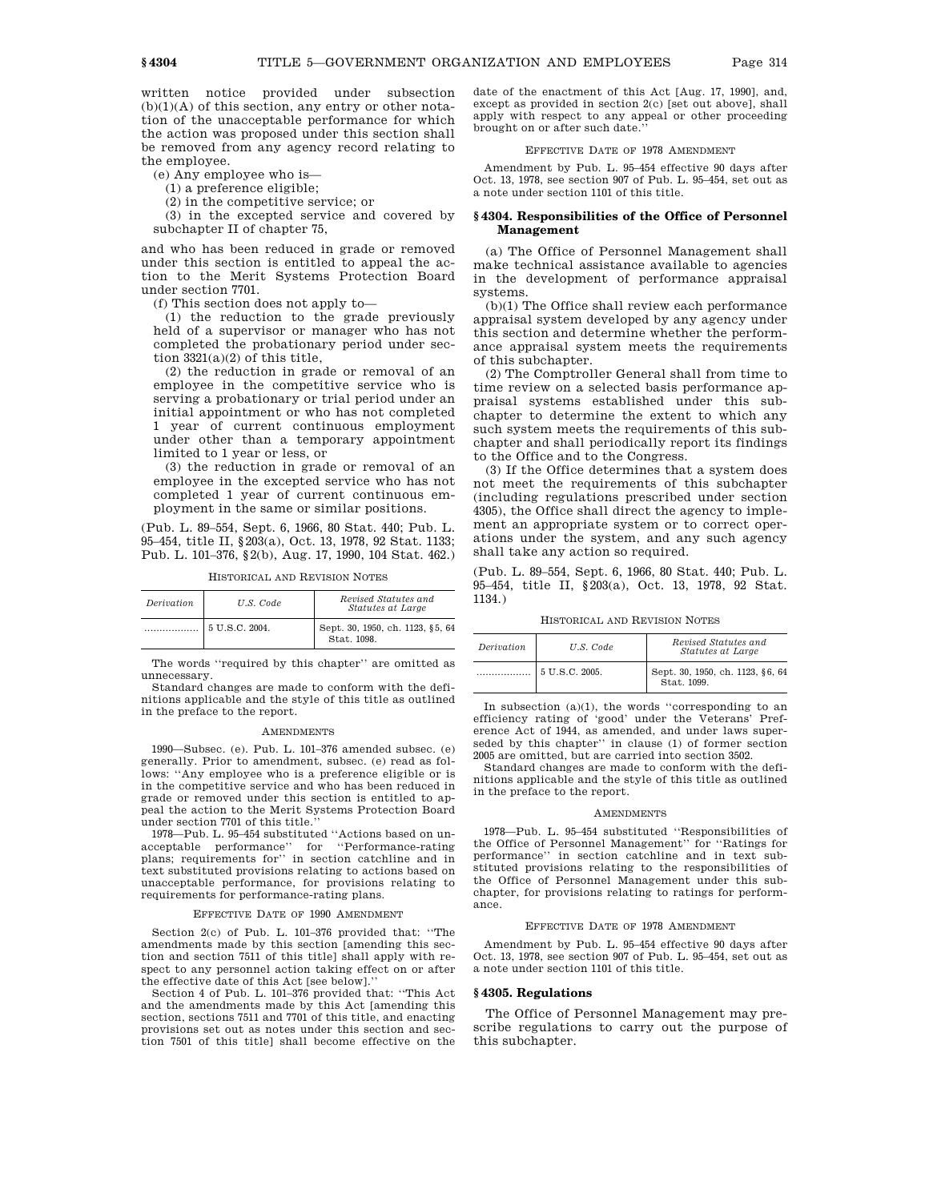written notice provided under subsection  $(b)(1)(A)$  of this section, any entry or other notation of the unacceptable performance for which the action was proposed under this section shall be removed from any agency record relating to the employee.

(e) Any employee who is—

(1) a preference eligible;

(2) in the competitive service; or

(3) in the excepted service and covered by subchapter II of chapter 75,

and who has been reduced in grade or removed under this section is entitled to appeal the action to the Merit Systems Protection Board under section 7701.

(f) This section does not apply to—

(1) the reduction to the grade previously held of a supervisor or manager who has not completed the probationary period under section 3321(a)(2) of this title,

(2) the reduction in grade or removal of an employee in the competitive service who is serving a probationary or trial period under an initial appointment or who has not completed 1 year of current continuous employment under other than a temporary appointment limited to 1 year or less, or

(3) the reduction in grade or removal of an employee in the excepted service who has not completed 1 year of current continuous employment in the same or similar positions.

(Pub. L. 89–554, Sept. 6, 1966, 80 Stat. 440; Pub. L. 95–454, title II, §203(a), Oct. 13, 1978, 92 Stat. 1133; Pub. L. 101–376, §2(b), Aug. 17, 1990, 104 Stat. 462.)

HISTORICAL AND REVISION NOTES

| <i>Derivation</i> | U.S. Code      | Revised Statutes and<br>Statutes at Large       |
|-------------------|----------------|-------------------------------------------------|
|                   | 5 U.S.C. 2004. | Sept. 30, 1950, ch. 1123, §5, 64<br>Stat. 1098. |

The words ''required by this chapter'' are omitted as unnecessary.

Standard changes are made to conform with the definitions applicable and the style of this title as outlined in the preface to the report.

### AMENDMENTS

1990—Subsec. (e). Pub. L. 101–376 amended subsec. (e) generally. Prior to amendment, subsec. (e) read as follows: ''Any employee who is a preference eligible or is in the competitive service and who has been reduced in grade or removed under this section is entitled to appeal the action to the Merit Systems Protection Board under section 7701 of this title.

1978—Pub. L. 95–454 substituted ''Actions based on unacceptable performance'' for ''Performance-rating plans; requirements for'' in section catchline and in text substituted provisions relating to actions based on unacceptable performance, for provisions relating to requirements for performance-rating plans.

### EFFECTIVE DATE OF 1990 AMENDMENT

Section 2(c) of Pub. L. 101–376 provided that: ''The amendments made by this section [amending this section and section 7511 of this title] shall apply with respect to any personnel action taking effect on or after the effective date of this Act [see below].''

Section 4 of Pub. L. 101–376 provided that: ''This Act and the amendments made by this Act [amending this section, sections 7511 and 7701 of this title, and enacting provisions set out as notes under this section and section 7501 of this title] shall become effective on the

date of the enactment of this Act [Aug. 17, 1990], and, except as provided in section 2(c) [set out above], shall apply with respect to any appeal or other proceeding brought on or after such date.''

## EFFECTIVE DATE OF 1978 AMENDMENT

Amendment by Pub. L. 95–454 effective 90 days after Oct. 13, 1978, see section 907 of Pub. L. 95–454, set out as a note under section 1101 of this title.

## **§ 4304. Responsibilities of the Office of Personnel Management**

(a) The Office of Personnel Management shall make technical assistance available to agencies in the development of performance appraisal systems.

(b)(1) The Office shall review each performance appraisal system developed by any agency under this section and determine whether the performance appraisal system meets the requirements of this subchapter.

(2) The Comptroller General shall from time to time review on a selected basis performance appraisal systems established under this subchapter to determine the extent to which any such system meets the requirements of this subchapter and shall periodically report its findings to the Office and to the Congress.

(3) If the Office determines that a system does not meet the requirements of this subchapter (including regulations prescribed under section 4305), the Office shall direct the agency to implement an appropriate system or to correct operations under the system, and any such agency shall take any action so required.

(Pub. L. 89–554, Sept. 6, 1966, 80 Stat. 440; Pub. L. 95–454, title II, §203(a), Oct. 13, 1978, 92 Stat. 1134.)

HISTORICAL AND REVISION NOTES

| Derivation | U.S. Code      | Revised Statutes and<br>Statutes at Large       |
|------------|----------------|-------------------------------------------------|
|            | 5 U.S.C. 2005. | Sept. 30, 1950, ch. 1123, §6, 64<br>Stat. 1099. |

In subsection (a)(1), the words ''corresponding to an efficiency rating of 'good' under the Veterans' Preference Act of 1944, as amended, and under laws superseded by this chapter'' in clause (1) of former section 2005 are omitted, but are carried into section 3502.

Standard changes are made to conform with the definitions applicable and the style of this title as outlined in the preface to the report.

#### **AMENDMENTS**

1978—Pub. L. 95–454 substituted ''Responsibilities of the Office of Personnel Management'' for ''Ratings for performance'' in section catchline and in text substituted provisions relating to the responsibilities of the Office of Personnel Management under this subchapter, for provisions relating to ratings for performance.

## EFFECTIVE DATE OF 1978 AMENDMENT

Amendment by Pub. L. 95–454 effective 90 days after Oct. 13, 1978, see section 907 of Pub. L. 95–454, set out as a note under section 1101 of this title.

# **§ 4305. Regulations**

The Office of Personnel Management may prescribe regulations to carry out the purpose of this subchapter.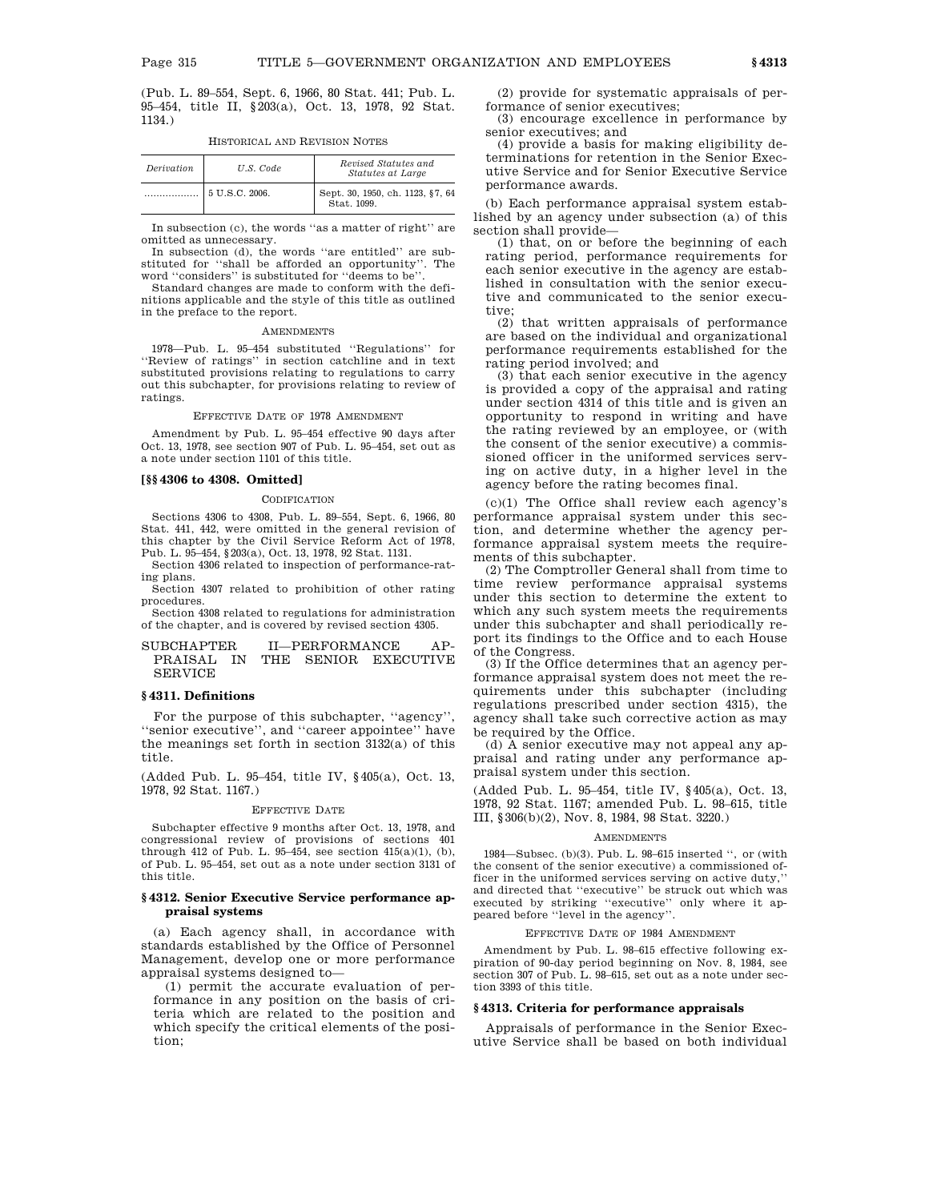(Pub. L. 89–554, Sept. 6, 1966, 80 Stat. 441; Pub. L. 95–454, title II, §203(a), Oct. 13, 1978, 92 Stat. 1134.)

| <i>Derivation</i> | U.S. Code      | Revised Statutes and<br><i>Statutes at Large</i> |
|-------------------|----------------|--------------------------------------------------|
|                   | 5 U.S.C. 2006. | Sept. 30, 1950, ch. 1123, §7, 64<br>Stat. 1099.  |

HISTORICAL AND REVISION NOTES

In subsection (c), the words ''as a matter of right'' are omitted as unnecessary.

In subsection (d), the words "are entitled" are sub-<br>ituted for "shall be afforded an opportunity". The stituted for "shall be afforded an opportunity" word ''considers'' is substituted for ''deems to be''.

Standard changes are made to conform with the definitions applicable and the style of this title as outlined in the preface to the report.

## **AMENDMENTS**

1978—Pub. L. 95–454 substituted ''Regulations'' for ''Review of ratings'' in section catchline and in text substituted provisions relating to regulations to carry out this subchapter, for provisions relating to review of ratings.

EFFECTIVE DATE OF 1978 AMENDMENT

Amendment by Pub. L. 95–454 effective 90 days after Oct. 13, 1978, see section 907 of Pub. L. 95–454, set out as a note under section 1101 of this title.

### **[§§ 4306 to 4308. Omitted]**

### CODIFICATION

Sections 4306 to 4308, Pub. L. 89–554, Sept. 6, 1966, 80 Stat. 441, 442, were omitted in the general revision of this chapter by the Civil Service Reform Act of 1978, Pub. L. 95–454, §203(a), Oct. 13, 1978, 92 Stat. 1131.

Section 4306 related to inspection of performance-rating plans.

Section 4307 related to prohibition of other rating procedures.

Section 4308 related to regulations for administration of the chapter, and is covered by revised section 4305.

## SUBCHAPTER II—PERFORMANCE AP-PRAISAL IN THE SENIOR EXECUTIVE SERVICE

### **§ 4311. Definitions**

For the purpose of this subchapter, ''agency'', ''senior executive'', and ''career appointee'' have the meanings set forth in section 3132(a) of this title.

(Added Pub. L. 95–454, title IV, §405(a), Oct. 13, 1978, 92 Stat. 1167.)

# EFFECTIVE DATE

Subchapter effective 9 months after Oct. 13, 1978, and congressional review of provisions of sections 401 through 412 of Pub. L. 95-454, see section  $415(a)(1)$ , (b), of Pub. L. 95–454, set out as a note under section 3131 of this title.

# **§ 4312. Senior Executive Service performance appraisal systems**

(a) Each agency shall, in accordance with standards established by the Office of Personnel Management, develop one or more performance appraisal systems designed to—

(1) permit the accurate evaluation of performance in any position on the basis of criteria which are related to the position and which specify the critical elements of the position;

(2) provide for systematic appraisals of performance of senior executives;

(3) encourage excellence in performance by senior executives; and

(4) provide a basis for making eligibility determinations for retention in the Senior Executive Service and for Senior Executive Service performance awards.

(b) Each performance appraisal system established by an agency under subsection (a) of this section shall provide—

(1) that, on or before the beginning of each rating period, performance requirements for each senior executive in the agency are established in consultation with the senior executive and communicated to the senior executive;

(2) that written appraisals of performance are based on the individual and organizational performance requirements established for the rating period involved; and

(3) that each senior executive in the agency is provided a copy of the appraisal and rating under section 4314 of this title and is given an opportunity to respond in writing and have the rating reviewed by an employee, or (with the consent of the senior executive) a commissioned officer in the uniformed services serving on active duty, in a higher level in the agency before the rating becomes final.

(c)(1) The Office shall review each agency's performance appraisal system under this section, and determine whether the agency performance appraisal system meets the requirements of this subchapter.

(2) The Comptroller General shall from time to time review performance appraisal systems under this section to determine the extent to which any such system meets the requirements under this subchapter and shall periodically report its findings to the Office and to each House of the Congress.

(3) If the Office determines that an agency performance appraisal system does not meet the requirements under this subchapter (including regulations prescribed under section 4315), the agency shall take such corrective action as may be required by the Office.

(d) A senior executive may not appeal any appraisal and rating under any performance appraisal system under this section.

(Added Pub. L. 95–454, title IV, §405(a), Oct. 13, 1978, 92 Stat. 1167; amended Pub. L. 98–615, title III, §306(b)(2), Nov. 8, 1984, 98 Stat. 3220.)

### **AMENDMENTS**

1984—Subsec. (b)(3). Pub. L. 98–615 inserted '', or (with the consent of the senior executive) a commissioned officer in the uniformed services serving on active duty,'' and directed that ''executive'' be struck out which was executed by striking ''executive'' only where it appeared before ''level in the agency''.

## EFFECTIVE DATE OF 1984 AMENDMENT

Amendment by Pub. L. 98–615 effective following expiration of 90-day period beginning on Nov. 8, 1984, see section 307 of Pub. L. 98–615, set out as a note under section 3393 of this title.

# **§ 4313. Criteria for performance appraisals**

Appraisals of performance in the Senior Executive Service shall be based on both individual